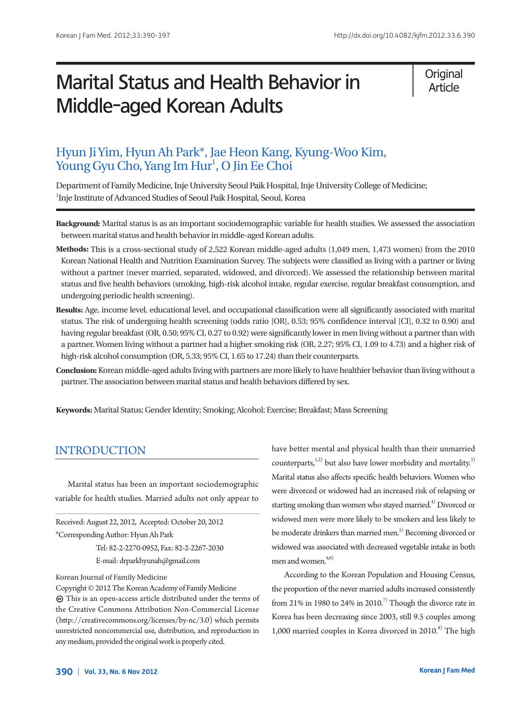# Marital Status and Health Behavior in Middle-aged Korean Adults

**Original** Article

## Hyun Ji Yim, Hyun Ah Park\*, Jae Heon Kang, Kyung-Woo Kim, Young Gyu Cho, Yang Im Hur<sup>1</sup>, O Jin Ee Choi

Department of Family Medicine, Inje University Seoul Paik Hospital, Inje University College of Medicine; <sup>1</sup>Inje Institute of Advanced Studies of Seoul Paik Hospital, Seoul, Korea

- **Background:** Marital status is as an important sociodemographic variable for health studies. We assessed the association between marital status and health behavior in middle-aged Korean adults.
- **Methods:** This is a cross-sectional study of 2,522 Korean middle-aged adults (1,049 men, 1,473 women) from the 2010 Korean National Health and Nutrition Examination Survey. The subjects were classified as living with a partner or living without a partner (never married, separated, widowed, and divorced). We assessed the relationship between marital status and five health behaviors (smoking, high-risk alcohol intake, regular exercise, regular breakfast consumption, and undergoing periodic health screening).
- **Results:** Age, income level, educational level, and occupational classification were all significantly associated with marital status. The risk of undergoing health screening (odds ratio [OR], 0.53; 95% confidence interval [CI], 0.32 to 0.90) and having regular breakfast (OR, 0.50; 95% CI, 0.27 to 0.92) were significantly lower in men living without a partner than with a partner. Women living without a partner had a higher smoking risk (OR, 2.27; 95% CI, 1.09 to 4.73) and a higher risk of high-risk alcohol consumption (OR, 5.33; 95% CI, 1.65 to 17.24) than their counterparts.
- **Conclusion:** Korean middle-aged adults living with partners are more likely to have healthier behavior than living without a partner. The association between marital status and health behaviors differed by sex.

**Keywords:** Marital Status; Gender Identity; Smoking; Alcohol; Exercise; Breakfast; Mass Screening

## INTRODUCTION

Marital status has been an important sociodemographic variable for health studies. Married adults not only appear to

Received: August 22, 2012, Accepted: October 20, 2012 \*Corresponding Author: Hyun Ah Park

> Tel: 82-2-2270-0952, Fax: 82-2-2267-2030 E-mail: drparkhyunah@gmail.com

Korean Journal of Family Medicine

have better mental and physical health than their unmarried counterparts, $1,2)$  but also have lower morbidity and mortality.<sup>3)</sup> Marital status also affects specific health behaviors. Women who were divorced or widowed had an increased risk of relapsing or starting smoking than women who stayed married.<sup>4)</sup> Divorced or widowed men were more likely to be smokers and less likely to be moderate drinkers than married men.<sup>5)</sup> Becoming divorced or widowed was associated with decreased vegetable intake in both men and women.<sup>4,6)</sup>

According to the Korean Population and Housing Census, the proportion of the never married adults increased consistently from 21% in 1980 to 24% in 2010.<sup>7)</sup> Though the divorce rate in Korea has been decreasing since 2003, still 9.5 couples among 1,000 married couples in Korea divorced in  $2010$ .<sup>8)</sup> The high

Copyright © 2012 The Korean Academy of Family Medicine This is an open-access article distributed under the terms of the Creative Commons Attribution Non-Commercial License (http://creativecommons.org/licenses/by-nc/3.0) which permits unrestricted noncommercial use, distribution, and reproduction in any medium, provided the original work is properly cited.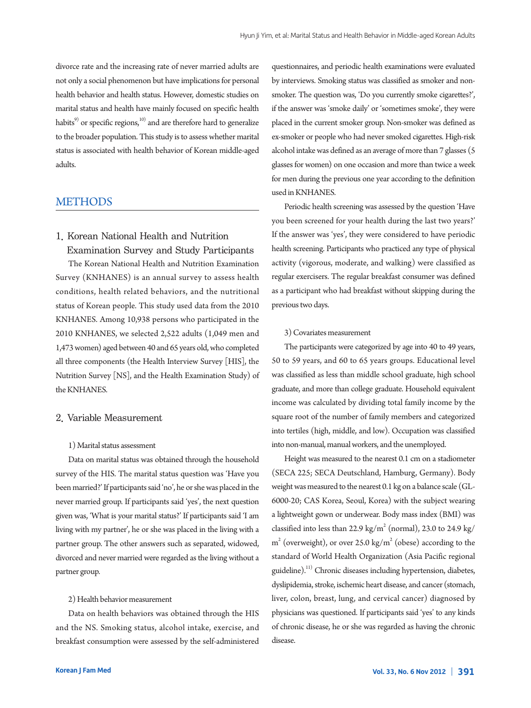divorce rate and the increasing rate of never married adults are not only a social phenomenon but have implications for personal health behavior and health status. However, domestic studies on marital status and health have mainly focused on specific health habits $^{9}$ ) or specific regions, $^{10)}$  and are therefore hard to generalize to the broader population. This study is to assess whether marital status is associated with health behavior of Korean middle-aged adults.

## METHODS

## 1. Korean National Health and Nutrition Examination Survey and Study Participants

The Korean National Health and Nutrition Examination Survey (KNHANES) is an annual survey to assess health conditions, health related behaviors, and the nutritional status of Korean people. This study used data from the 2010 KNHANES. Among 10,938 persons who participated in the 2010 KNHANES, we selected 2,522 adults (1,049 men and 1,473 women) aged between 40 and 65 years old, who completed all three components (the Health Interview Survey [HIS], the Nutrition Survey [NS], and the Health Examination Study) of the KNHANES.

#### 2. Variable Measurement

#### 1) Marital status assessment

Data on marital status was obtained through the household survey of the HIS. The marital status question was 'Have you been married?' If participants said 'no', he or she was placed in the never married group. If participants said 'yes', the next question given was, 'What is your marital status?' If participants said 'I am living with my partner', he or she was placed in the living with a partner group. The other answers such as separated, widowed, divorced and never married were regarded as the living without a partner group.

#### 2) Health behavior measurement

Data on health behaviors was obtained through the HIS and the NS. Smoking status, alcohol intake, exercise, and breakfast consumption were assessed by the self-administered

questionnaires, and periodic health examinations were evaluated by interviews. Smoking status was classified as smoker and nonsmoker. The question was, 'Do you currently smoke cigarettes?', if the answer was 'smoke daily' or 'sometimes smoke', they were placed in the current smoker group. Non-smoker was defined as ex-smoker or people who had never smoked cigarettes. High-risk alcohol intake was defined as an average of more than 7 glasses (5 glasses for women) on one occasion and more than twice a week for men during the previous one year according to the definition used in KNHANES.

Periodic health screening was assessed by the question 'Have you been screened for your health during the last two years?' If the answer was 'yes', they were considered to have periodic health screening. Participants who practiced any type of physical activity (vigorous, moderate, and walking) were classified as regular exercisers. The regular breakfast consumer was defined as a participant who had breakfast without skipping during the previous two days.

#### 3) Covariates measurement

The participants were categorized by age into 40 to 49 years, 50 to 59 years, and 60 to 65 years groups. Educational level was classified as less than middle school graduate, high school graduate, and more than college graduate. Household equivalent income was calculated by dividing total family income by the square root of the number of family members and categorized into tertiles (high, middle, and low). Occupation was classified into non-manual, manual workers, and the unemployed.

Height was measured to the nearest 0.1 cm on a stadiometer (SECA 225; SECA Deutschland, Hamburg, Germany). Body weight was measured to the nearest 0.1 kg on a balance scale (GL-6000-20; CAS Korea, Seoul, Korea) with the subject wearing a lightweight gown or underwear. Body mass index (BMI) was classified into less than 22.9 kg/m<sup>2</sup> (normal), 23.0 to 24.9 kg/  $m<sup>2</sup>$  (overweight), or over 25.0 kg/ $m<sup>2</sup>$  (obese) according to the standard of World Health Organization (Asia Pacific regional guideline).<sup>11)</sup> Chronic diseases including hypertension, diabetes, dyslipidemia, stroke, ischemic heart disease, and cancer (stomach, liver, colon, breast, lung, and cervical cancer) diagnosed by physicians was questioned. If participants said 'yes' to any kinds of chronic disease, he or she was regarded as having the chronic disease.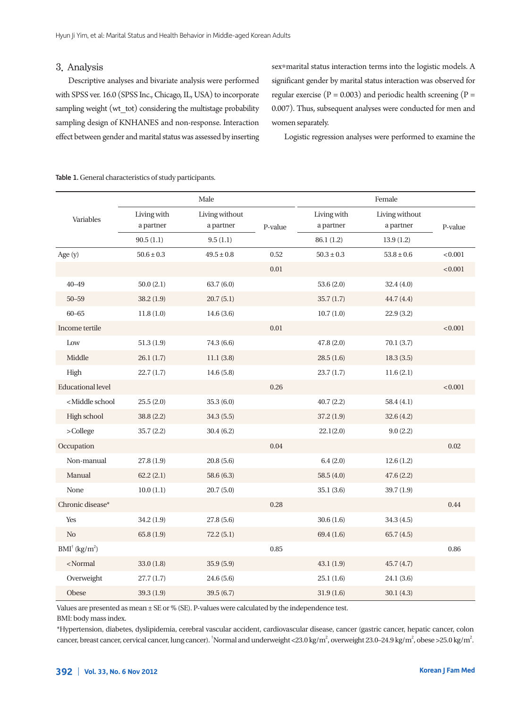## 3. Analysis

Descriptive analyses and bivariate analysis were performed with SPSS ver. 16.0 (SPSS Inc., Chicago, IL, USA) to incorporate sampling weight (wt\_tot) considering the multistage probability sampling design of KNHANES and non-response. Interaction effect between gender and marital status was assessed by inserting sex\*marital status interaction terms into the logistic models. A significant gender by marital status interaction was observed for regular exercise ( $P = 0.003$ ) and periodic health screening ( $P =$ 0.007). Thus, subsequent analyses were conducted for men and women separately.

Logistic regression analyses were performed to examine the

|                                                                                                                              | Male                     |                                         |         | Female                                 |                                          |          |
|------------------------------------------------------------------------------------------------------------------------------|--------------------------|-----------------------------------------|---------|----------------------------------------|------------------------------------------|----------|
| Variables                                                                                                                    | Living with<br>a partner | Living without<br>a partner<br>9.5(1.1) | P-value | Living with<br>a partner<br>86.1 (1.2) | Living without<br>a partner<br>13.9(1.2) | P-value  |
|                                                                                                                              | 90.5(1.1)                |                                         |         |                                        |                                          |          |
| Age (y)                                                                                                                      | $50.6 \pm 0.3$           | $49.5 \pm 0.8$                          | 0.52    | $50.3 \pm 0.3$                         | $53.8 \pm 0.6$                           | < 0.001  |
|                                                                                                                              |                          |                                         | 0.01    |                                        |                                          | < 0.001  |
| $40 - 49$                                                                                                                    | 50.0(2.1)                | 63.7(6.0)                               |         | 53.6(2.0)                              | 32.4(4.0)                                |          |
| $50 - 59$                                                                                                                    | 38.2(1.9)                | 20.7(5.1)                               |         | 35.7(1.7)                              | 44.7 (4.4)                               |          |
| $60 - 65$                                                                                                                    | 11.8(1.0)                | 14.6(3.6)                               |         | 10.7(1.0)                              | 22.9(3.2)                                |          |
| Income tertile                                                                                                               |                          |                                         | 0.01    |                                        |                                          | < 0.001  |
| Low                                                                                                                          | 51.3(1.9)                | 74.3 (6.6)                              |         | 47.8 (2.0)                             | 70.1(3.7)                                |          |
| Middle                                                                                                                       | 26.1(1.7)                | 11.1(3.8)                               |         | 28.5(1.6)                              | 18.3(3.5)                                |          |
| High                                                                                                                         | 22.7(1.7)                | 14.6(5.8)                               |         | 23.7(1.7)                              | 11.6(2.1)                                |          |
| <b>Educational level</b>                                                                                                     |                          |                                         | 0.26    |                                        |                                          | < 0.001  |
| <middle school<="" td=""><td>25.5(2.0)</td><td>35.3(6.0)</td><td></td><td>40.7(2.2)</td><td>58.4(4.1)</td><td></td></middle> | 25.5(2.0)                | 35.3(6.0)                               |         | 40.7(2.2)                              | 58.4(4.1)                                |          |
| High school                                                                                                                  | 38.8 (2.2)               | 34.3(5.5)                               |         | 37.2(1.9)                              | 32.6(4.2)                                |          |
| >College                                                                                                                     | 35.7(2.2)                | 30.4(6.2)                               |         | 22.1(2.0)                              | 9.0(2.2)                                 |          |
| Occupation                                                                                                                   |                          |                                         | 0.04    |                                        |                                          | 0.02     |
| Non-manual                                                                                                                   | 27.8(1.9)                | 20.8(5.6)                               |         | 6.4(2.0)                               | 12.6(1.2)                                |          |
| Manual                                                                                                                       | 62.2(2.1)                | 58.6(6.3)                               |         | 58.5(4.0)                              | 47.6(2.2)                                |          |
| None                                                                                                                         | 10.0(1.1)                | 20.7(5.0)                               |         | 35.1(3.6)                              | 39.7(1.9)                                |          |
| Chronic disease*                                                                                                             |                          |                                         | 0.28    |                                        |                                          | 0.44     |
| Yes                                                                                                                          | 34.2(1.9)                | 27.8(5.6)                               |         | 30.6(1.6)                              | 34.3(4.5)                                |          |
| N <sub>o</sub>                                                                                                               | 65.8(1.9)                | 72.2(5.1)                               |         | 69.4(1.6)                              | 65.7(4.5)                                |          |
| $BMI^{\dagger}$ (kg/m <sup>2</sup> )                                                                                         |                          |                                         | 0.85    |                                        |                                          | $0.86\,$ |
| <normal< td=""><td>33.0(1.8)</td><td>35.9(5.9)</td><td></td><td>43.1(1.9)</td><td>45.7(4.7)</td><td></td></normal<>          | 33.0(1.8)                | 35.9(5.9)                               |         | 43.1(1.9)                              | 45.7(4.7)                                |          |
| Overweight                                                                                                                   | 27.7(1.7)                | 24.6(5.6)                               |         | 25.1(1.6)                              | 24.1(3.6)                                |          |
| Obese                                                                                                                        | 39.3(1.9)                | 39.5 (6.7)                              |         | 31.9(1.6)                              | 30.1(4.3)                                |          |

Table 1. General characteristics of study participants.

Values are presented as mean ± SE or % (SE). P-values were calculated by the independence test.

BMI: body mass index.

\*Hypertension, diabetes, dyslipidemia, cerebral vascular accident, cardiovascular disease, cancer (gastric cancer, hepatic cancer, colon cancer, breast cancer, cervical cancer, lung cancer). <sup>†</sup>Normal and underweight <23.0 kg/m<sup>2</sup>, overweight 23.0–24.9 kg/m<sup>2</sup>, obese >25.0 kg/m<sup>2</sup>.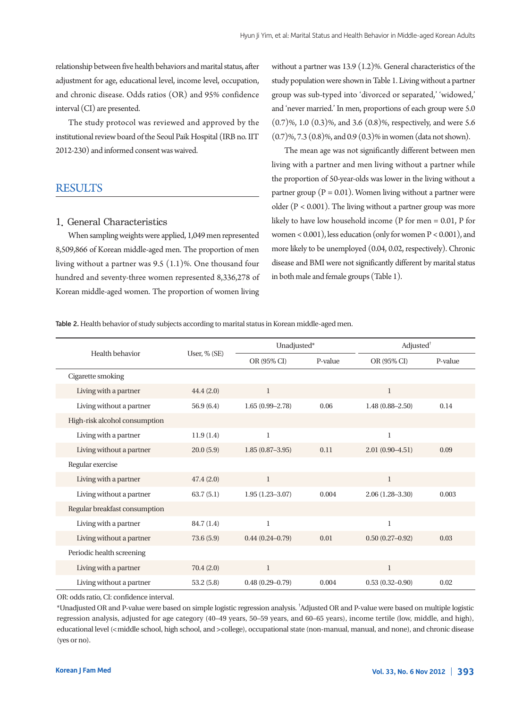relationship between five health behaviors and marital status, after adjustment for age, educational level, income level, occupation, and chronic disease. Odds ratios (OR) and 95% confidence interval (CI) are presented.

The study protocol was reviewed and approved by the institutional review board of the Seoul Paik Hospital (IRB no. IIT 2012-230) and informed consent was waived.

## **RESULTS**

#### 1. General Characteristics

When sampling weights were applied, 1,049 men represented 8,509,866 of Korean middle-aged men. The proportion of men living without a partner was 9.5 (1.1)%. One thousand four hundred and seventy-three women represented 8,336,278 of Korean middle-aged women. The proportion of women living

without a partner was 13.9 (1.2)%. General characteristics of the study population were shown in Table 1. Living without a partner group was sub-typed into 'divorced or separated,' 'widowed,' and 'never married.' In men, proportions of each group were 5.0 (0.7)%, 1.0 (0.3)%, and 3.6 (0.8)%, respectively, and were 5.6 (0.7)%, 7.3 (0.8)%, and 0.9 (0.3)% in women (data not shown).

The mean age was not significantly different between men living with a partner and men living without a partner while the proportion of 50-year-olds was lower in the living without a partner group ( $P = 0.01$ ). Women living without a partner were older ( $P < 0.001$ ). The living without a partner group was more likely to have low household income (P for men = 0.01, P for women  $< 0.001$ ), less education (only for women  $P < 0.001$ ), and more likely to be unemployed (0.04, 0.02, respectively). Chronic disease and BMI were not significantly different by marital status in both male and female groups (Table 1).

Table 2. Health behavior of study subjects according to marital status in Korean middle-aged men.

|                               | User, % (SE) | Unadjusted*         |         | Adjusted <sup>†</sup> |         |
|-------------------------------|--------------|---------------------|---------|-----------------------|---------|
| Health behavior               |              | OR (95% CI)         | P-value | OR (95% CI)           | P-value |
| Cigarette smoking             |              |                     |         |                       |         |
| Living with a partner         | 44.4(2.0)    | $\mathbf{1}$        |         | $\mathbf{1}$          |         |
| Living without a partner      | 56.9 (6.4)   | $1.65(0.99 - 2.78)$ | 0.06    | $1.48(0.88 - 2.50)$   | 0.14    |
| High-risk alcohol consumption |              |                     |         |                       |         |
| Living with a partner         | 11.9(1.4)    | 1                   |         | 1                     |         |
| Living without a partner      | 20.0(5.9)    | $1.85(0.87 - 3.95)$ | 0.11    | $2.01(0.90-4.51)$     | 0.09    |
| Regular exercise              |              |                     |         |                       |         |
| Living with a partner         | 47.4(2.0)    | $\mathbf{1}$        |         | $\mathbf{1}$          |         |
| Living without a partner      | 63.7(5.1)    | $1.95(1.23 - 3.07)$ | 0.004   | $2.06(1.28 - 3.30)$   | 0.003   |
| Regular breakfast consumption |              |                     |         |                       |         |
| Living with a partner         | 84.7 (1.4)   | 1                   |         | $\mathbf{1}$          |         |
| Living without a partner      | 73.6(5.9)    | $0.44(0.24 - 0.79)$ | 0.01    | $0.50(0.27 - 0.92)$   | 0.03    |
| Periodic health screening     |              |                     |         |                       |         |
| Living with a partner         | 70.4(2.0)    | $\mathbf{1}$        |         | $\mathbf{1}$          |         |
| Living without a partner      | 53.2(5.8)    | $0.48(0.29 - 0.79)$ | 0.004   | $0.53(0.32 - 0.90)$   | 0.02    |

OR: odds ratio, CI: confidence interval.

\*Unadjusted OR and P-value were based on simple logistic regression analysis. † Adjusted OR and P-value were based on multiple logistic regression analysis, adjusted for age category (40–49 years, 50–59 years, and 60–65 years), income tertile (low, middle, and high), educational level (<middle school, high school, and >college), occupational state (non-manual, manual, and none), and chronic disease (yes or no).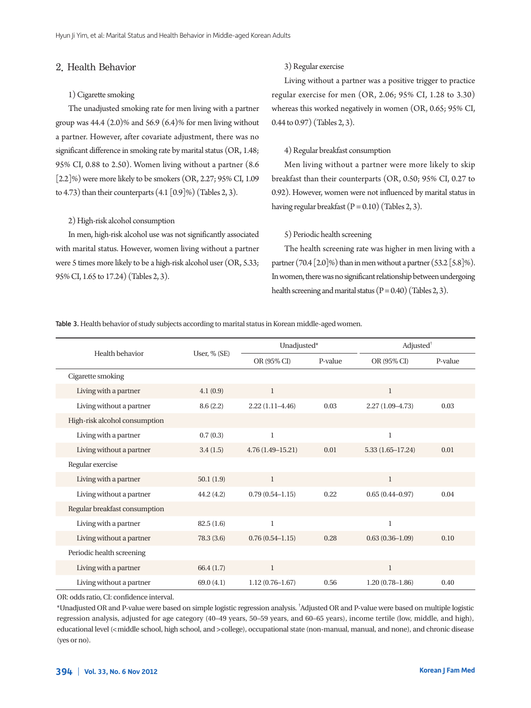#### 2. Health Behavior

#### 1) Cigarette smoking

The unadjusted smoking rate for men living with a partner group was  $44.4$  (2.0)% and  $56.9$  (6.4)% for men living without a partner. However, after covariate adjustment, there was no significant difference in smoking rate by marital status (OR, 1.48; 95% CI, 0.88 to 2.50). Women living without a partner (8.6 [2.2]%) were more likely to be smokers (OR, 2.27; 95% CI, 1.09 to 4.73) than their counterparts  $(4.1 [0.9]\%)$  (Tables 2, 3).

#### 2) High-risk alcohol consumption

In men, high-risk alcohol use was not significantly associated with marital status. However, women living without a partner were 5 times more likely to be a high-risk alcohol user (OR, 5.33; 95% CI, 1.65 to 17.24) (Tables 2, 3).

#### 3) Regular exercise

Living without a partner was a positive trigger to practice regular exercise for men (OR, 2.06; 95% CI, 1.28 to 3.30) whereas this worked negatively in women (OR, 0.65; 95% CI, 0.44 to 0.97) (Tables 2, 3).

#### 4) Regular breakfast consumption

Men living without a partner were more likely to skip breakfast than their counterparts (OR, 0.50; 95% CI, 0.27 to 0.92). However, women were not influenced by marital status in having regular breakfast  $(P = 0.10)$  (Tables 2, 3).

#### 5) Periodic health screening

The health screening rate was higher in men living with a partner (70.4  $[2.0]$ %) than in men without a partner (53.2  $[5.8]$ %). In women, there was no significant relationship between undergoing health screening and marital status  $(P = 0.40)$  (Tables 2, 3).

Table 3. Health behavior of study subjects according to marital status in Korean middle-aged women.

|                               | User, % (SE) | Unadjusted*          |         | Adjusted <sup>†</sup> |         |
|-------------------------------|--------------|----------------------|---------|-----------------------|---------|
| Health behavior               |              | OR (95% CI)          | P-value | OR (95% CI)           | P-value |
| Cigarette smoking             |              |                      |         |                       |         |
| Living with a partner         | 4.1(0.9)     | $\mathbf{1}$         |         | $\mathbf{1}$          |         |
| Living without a partner      | 8.6(2.2)     | $2.22(1.11-4.46)$    | 0.03    | $2.27(1.09 - 4.73)$   | 0.03    |
| High-risk alcohol consumption |              |                      |         |                       |         |
| Living with a partner         | 0.7(0.3)     | $\mathbf{1}$         |         | $\mathbf{1}$          |         |
| Living without a partner      | 3.4(1.5)     | $4.76(1.49 - 15.21)$ | 0.01    | $5.33(1.65 - 17.24)$  | 0.01    |
| Regular exercise              |              |                      |         |                       |         |
| Living with a partner         | 50.1(1.9)    | 1                    |         | $\mathbf{1}$          |         |
| Living without a partner      | 44.2(4.2)    | $0.79(0.54 - 1.15)$  | 0.22    | $0.65(0.44 - 0.97)$   | 0.04    |
| Regular breakfast consumption |              |                      |         |                       |         |
| Living with a partner         | 82.5(1.6)    | $\mathbf{1}$         |         | $\mathbf{1}$          |         |
| Living without a partner      | 78.3(3.6)    | $0.76(0.54 - 1.15)$  | 0.28    | $0.63(0.36-1.09)$     | 0.10    |
| Periodic health screening     |              |                      |         |                       |         |
| Living with a partner         | 66.4(1.7)    | 1                    |         | 1                     |         |
| Living without a partner      | 69.0(4.1)    | $1.12(0.76 - 1.67)$  | 0.56    | $1.20(0.78 - 1.86)$   | 0.40    |

OR: odds ratio, CI: confidence interval.

\*Unadjusted OR and P-value were based on simple logistic regression analysis. † Adjusted OR and P-value were based on multiple logistic regression analysis, adjusted for age category (40–49 years, 50–59 years, and 60–65 years), income tertile (low, middle, and high), educational level (<middle school, high school, and >college), occupational state (non-manual, manual, and none), and chronic disease (yes or no).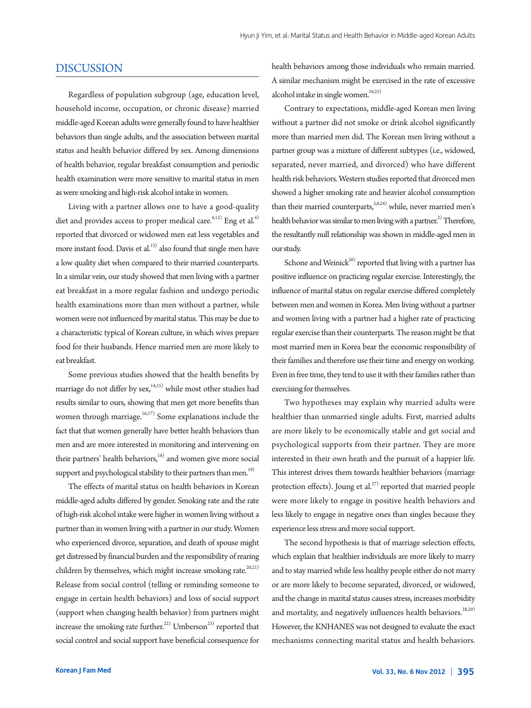## DISCUSSION

Regardless of population subgroup (age, education level, household income, occupation, or chronic disease) married middle-aged Korean adults were generally found to have healthier behaviors than single adults, and the association between marital status and health behavior differed by sex. Among dimensions of health behavior, regular breakfast consumption and periodic health examination were more sensitive to marital status in men as were smoking and high-risk alcohol intake in women.

Living with a partner allows one to have a good-quality diet and provides access to proper medical care.<sup>4,12)</sup> Eng et al.<sup>6)</sup> reported that divorced or widowed men eat less vegetables and more instant food. Davis et al.<sup>13)</sup> also found that single men have a low quality diet when compared to their married counterparts. In a similar vein, our study showed that men living with a partner eat breakfast in a more regular fashion and undergo periodic health examinations more than men without a partner, while women were not influenced by marital status. This may be due to a characteristic typical of Korean culture, in which wives prepare food for their husbands. Hence married men are more likely to eat breakfast.

Some previous studies showed that the health benefits by marriage do not differ by  $sex<sub>1</sub><sup>1,15)</sup>$  while most other studies had results similar to ours, showing that men get more benefits than women through marriage. $16,17)$  Some explanations include the fact that that women generally have better health behaviors than men and are more interested in monitoring and intervening on their partners' health behaviors, $18$ ) and women give more social support and psychological stability to their partners than men.<sup>19)</sup>

The effects of marital status on health behaviors in Korean middle-aged adults differed by gender. Smoking rate and the rate of high-risk alcohol intake were higher in women living without a partner than in women living with a partner in our study. Women who experienced divorce, separation, and death of spouse might get distressed by financial burden and the responsibility of rearing children by themselves, which might increase smoking rate.<sup>20,21)</sup> Release from social control (telling or reminding someone to engage in certain health behaviors) and loss of social support (support when changing health behavior) from partners might increase the smoking rate further.<sup>22)</sup> Umberson<sup>23)</sup> reported that social control and social support have beneficial consequence for health behaviors among those individuals who remain married. A similar mechanism might be exercised in the rate of excessive alcohol intake in single women. $24,25)$ 

Contrary to expectations, middle-aged Korean men living without a partner did not smoke or drink alcohol significantly more than married men did. The Korean men living without a partner group was a mixture of different subtypes (i.e., widowed, separated, never married, and divorced) who have different health risk behaviors. Western studies reported that divorced men showed a higher smoking rate and heavier alcohol consumption than their married counterparts,  $5,6,24)$  while, never married men's health behavior was similar to men living with a partner.<sup>2)</sup> Therefore, the resultantly null relationship was shown in middle-aged men in our study.

Schone and Weinick<sup>26)</sup> reported that living with a partner has positive influence on practicing regular exercise. Interestingly, the influence of marital status on regular exercise differed completely between men and women in Korea. Men living without a partner and women living with a partner had a higher rate of practicing regular exercise than their counterparts. The reason might be that most married men in Korea bear the economic responsibility of their families and therefore use their time and energy on working. Even in free time, they tend to use it with their families rather than exercising for themselves.

Two hypotheses may explain why married adults were healthier than unmarried single adults. First, married adults are more likely to be economically stable and get social and psychological supports from their partner. They are more interested in their own heath and the pursuit of a happier life. This interest drives them towards healthier behaviors (marriage protection effects). Joung et  $al.^{27)}$  reported that married people were more likely to engage in positive health behaviors and less likely to engage in negative ones than singles because they experience less stress and more social support.

The second hypothesis is that of marriage selection effects, which explain that healthier individuals are more likely to marry and to stay married while less healthy people either do not marry or are more likely to become separated, divorced, or widowed, and the change in marital status causes stress, increases morbidity and mortality, and negatively influences health behaviors.<sup>28,29)</sup> However, the KNHANES was not designed to evaluate the exact mechanisms connecting marital status and health behaviors.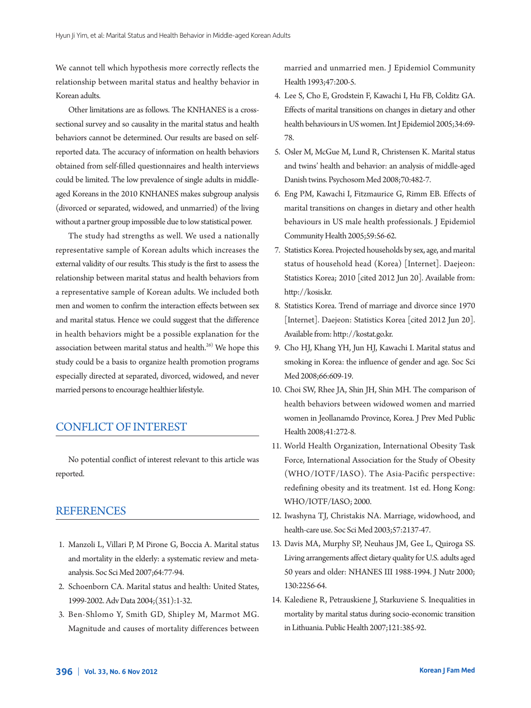We cannot tell which hypothesis more correctly reflects the relationship between marital status and healthy behavior in Korean adults.

Other limitations are as follows. The KNHANES is a crosssectional survey and so causality in the marital status and health behaviors cannot be determined. Our results are based on selfreported data. The accuracy of information on health behaviors obtained from self-filled questionnaires and health interviews could be limited. The low prevalence of single adults in middleaged Koreans in the 2010 KNHANES makes subgroup analysis (divorced or separated, widowed, and unmarried) of the living without a partner group impossible due to low statistical power.

The study had strengths as well. We used a nationally representative sample of Korean adults which increases the external validity of our results. This study is the first to assess the relationship between marital status and health behaviors from a representative sample of Korean adults. We included both men and women to confirm the interaction effects between sex and marital status. Hence we could suggest that the difference in health behaviors might be a possible explanation for the association between marital status and health. $26$ ) We hope this study could be a basis to organize health promotion programs especially directed at separated, divorced, widowed, and never married persons to encourage healthier lifestyle.

## CONFLICT OF INTEREST

No potential conflict of interest relevant to this article was reported.

## REFERENCES

- 1. Manzoli L, Villari P, M Pirone G, Boccia A. Marital status and mortality in the elderly: a systematic review and metaanalysis. Soc Sci Med 2007;64:77-94.
- 2. Schoenborn CA. Marital status and health: United States, 1999-2002. Adv Data 2004;(351):1-32.
- 3. Ben-Shlomo Y, Smith GD, Shipley M, Marmot MG. Magnitude and causes of mortality differences between

married and unmarried men. J Epidemiol Community Health 1993;47:200-5.

- 4. Lee S, Cho E, Grodstein F, Kawachi I, Hu FB, Colditz GA. Effects of marital transitions on changes in dietary and other health behaviours in US women. Int J Epidemiol 2005;34:69- 78.
- 5. Osler M, McGue M, Lund R, Christensen K. Marital status and twins' health and behavior: an analysis of middle-aged Danish twins. Psychosom Med 2008;70:482-7.
- 6. Eng PM, Kawachi I, Fitzmaurice G, Rimm EB. Effects of marital transitions on changes in dietary and other health behaviours in US male health professionals. J Epidemiol Community Health 2005;59:56-62.
- 7. Statistics Korea. Projected households by sex, age, and marital status of household head (Korea) [Internet]. Daejeon: Statistics Korea; 2010 [cited 2012 Jun 20]. Available from: http://kosis.kr.
- 8. Statistics Korea. Trend of marriage and divorce since 1970 [Internet]. Daejeon: Statistics Korea [cited 2012 Jun 20]. Available from: http://kostat.go.kr.
- 9. Cho HJ, Khang YH, Jun HJ, Kawachi I. Marital status and smoking in Korea: the influence of gender and age. Soc Sci Med 2008;66:609-19.
- 10. Choi SW, Rhee JA, Shin JH, Shin MH. The comparison of health behaviors between widowed women and married women in Jeollanamdo Province, Korea. J Prev Med Public Health 2008;41:272-8.
- 11. World Health Organization, International Obesity Task Force, International Association for the Study of Obesity (WHO/IOTF/IASO). The Asia-Pacific perspective: redefining obesity and its treatment. 1st ed. Hong Kong: WHO/IOTF/IASO; 2000.
- 12. Iwashyna TJ, Christakis NA. Marriage, widowhood, and health-care use. Soc Sci Med 2003;57:2137-47.
- 13. Davis MA, Murphy SP, Neuhaus JM, Gee L, Quiroga SS. Living arrangements affect dietary quality for U.S. adults aged 50 years and older: NHANES III 1988-1994. J Nutr 2000; 130:2256-64.
- 14. Kalediene R, Petrauskiene J, Starkuviene S. Inequalities in mortality by marital status during socio-economic transition in Lithuania. Public Health 2007;121:385-92.